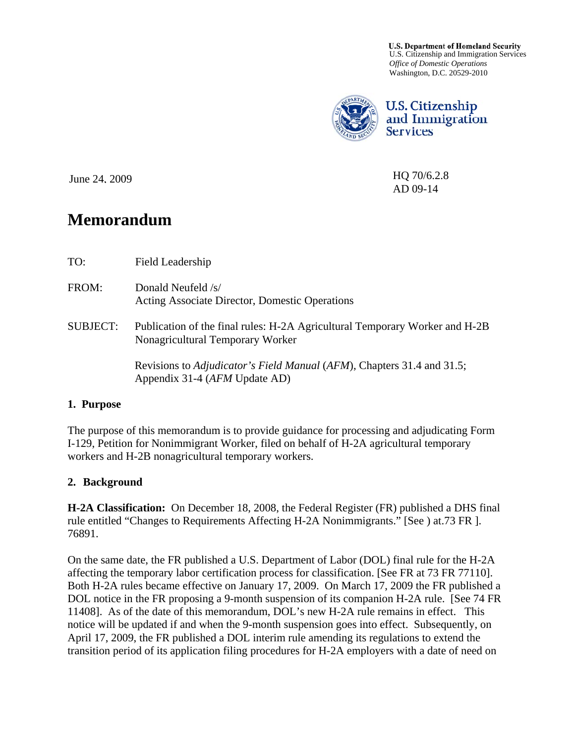**U.S. Department of Homeland Security** U.S. Citizenship and Immigration Services *Office of Domestic Operations*  Washington, D.C. 20529-2010



**U.S. Citizenship** and Immigration **Services** 

HQ 70/6.2.8 AD 09-14

June 24, 2009

# **Memorandum**

| TO:             | Field Leadership                                                                                                |
|-----------------|-----------------------------------------------------------------------------------------------------------------|
| FROM:           | Donald Neufeld /s/<br>Acting Associate Director, Domestic Operations                                            |
| <b>SUBJECT:</b> | Publication of the final rules: H-2A Agricultural Temporary Worker and H-2B<br>Nonagricultural Temporary Worker |
|                 | Revisions to <i>Adjudicator's Field Manual (AFM)</i> , Chapters 31.4 and 31.5;<br>Appendix 31-4 (AFM Update AD) |

# **1. Purpose**

The purpose of this memorandum is to provide guidance for processing and adjudicating Form I-129, Petition for Nonimmigrant Worker, filed on behalf of H-2A agricultural temporary workers and H-2B nonagricultural temporary workers.

# **2. Background**

**H-2A Classification:** On December 18, 2008, the Federal Register (FR) published a DHS final rule entitled "Changes to Requirements Affecting H-2A Nonimmigrants." [See ) at.73 FR ]. 76891.

On the same date, the FR published a U.S. Department of Labor (DOL) final rule for the H-2A affecting the temporary labor certification process for classification. [See FR at 73 FR 77110]. Both H-2A rules became effective on January 17, 2009. On March 17, 2009 the FR published a DOL notice in the FR proposing a 9-month suspension of its companion H-2A rule. [See 74 FR 11408]. As of the date of this memorandum, DOL's new H-2A rule remains in effect. This notice will be updated if and when the 9-month suspension goes into effect. Subsequently, on April 17, 2009, the FR published a DOL interim rule amending its regulations to extend the transition period of its application filing procedures for H-2A employers with a date of need on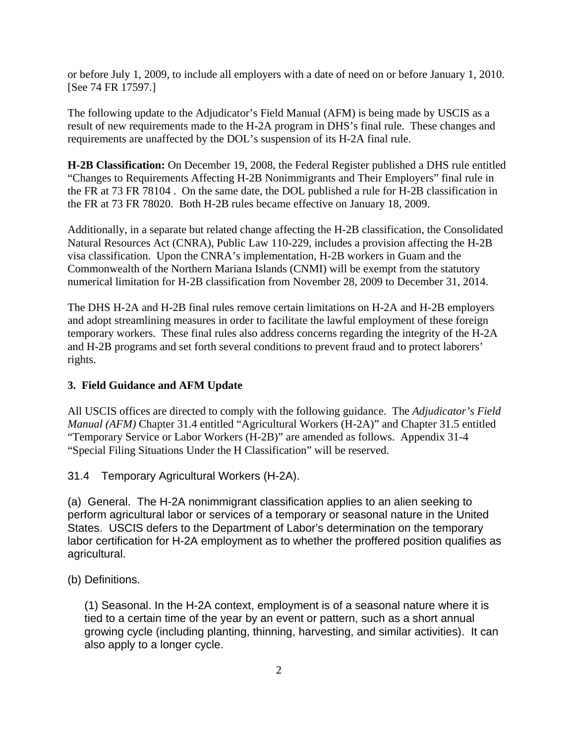or before July 1, 2009, to include all employers with a date of need on or before January 1, 2010. [See 74 FR 17597.]

The following update to the Adjudicator's Field Manual (AFM) is being made by USCIS as a result of new requirements made to the H-2A program in DHS's final rule. These changes and requirements are unaffected by the DOL's suspension of its H-2A final rule.

**H-2B Classification:** On December 19, 2008, the Federal Register published a DHS rule entitled "Changes to Requirements Affecting H-2B Nonimmigrants and Their Employers" final rule in the FR at 73 FR 78104 . On the same date, the DOL published a rule for H-2B classification in the FR at 73 FR 78020. Both H-2B rules became effective on January 18, 2009.

Additionally, in a separate but related change affecting the H-2B classification, the Consolidated Natural Resources Act (CNRA), Public Law 110-229, includes a provision affecting the H-2B visa classification. Upon the CNRA's implementation, H-2B workers in Guam and the Commonwealth of the Northern Mariana Islands (CNMI) will be exempt from the statutory numerical limitation for H-2B classification from November 28, 2009 to December 31, 2014.

The DHS H-2A and H-2B final rules remove certain limitations on H-2A and H-2B employers and adopt streamlining measures in order to facilitate the lawful employment of these foreign temporary workers. These final rules also address concerns regarding the integrity of the H-2A and H-2B programs and set forth several conditions to prevent fraud and to protect laborers' rights.

# **3. Field Guidance and AFM Update**

All USCIS offices are directed to comply with the following guidance. The *Adjudicator's Field Manual (AFM)* Chapter 31.4 entitled "Agricultural Workers (H-2A)" and Chapter 31.5 entitled "Temporary Service or Labor Workers (H-2B)" are amended as follows. Appendix 31-4 "Special Filing Situations Under the H Classification" will be reserved.

# 31.4 Temporary Agricultural Workers (H-2A).

(a) General. The H-2A nonimmigrant classification applies to an alien seeking to perform agricultural labor or services of a temporary or seasonal nature in the United States. USCIS defers to the Department of Labor's determination on the temporary labor certification for H-2A employment as to whether the proffered position qualifies as agricultural.

(b) Definitions.

(1) Seasonal. In the H-2A context, employment is of a seasonal nature where it is tied to a certain time of the year by an event or pattern, such as a short annual growing cycle (including planting, thinning, harvesting, and similar activities). It can also apply to a longer cycle.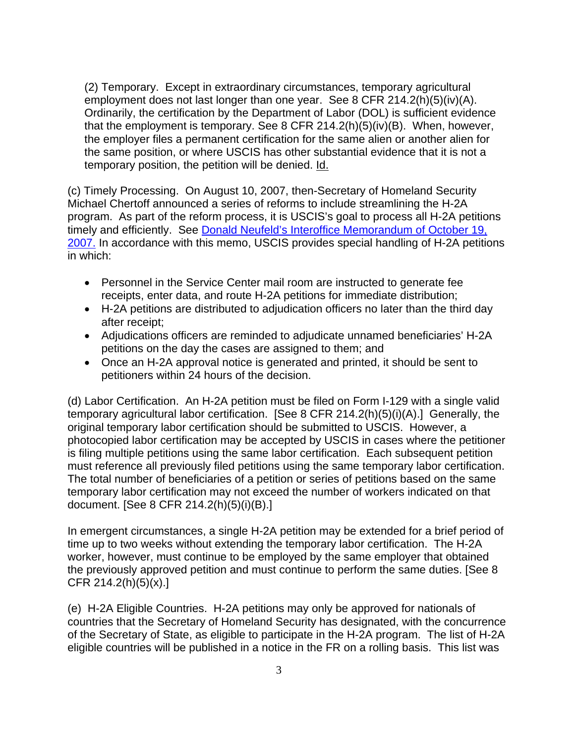(2) Temporary. Except in extraordinary circumstances, temporary agricultural employment does not last longer than one year. See 8 CFR 214.2(h)(5)(iv)(A). Ordinarily, the certification by the Department of Labor (DOL) is sufficient evidence that the employment is temporary. See 8 CFR 214.2(h)(5)(iv)(B). When, however, the employer files a permanent certification for the same alien or another alien for the same position, or where USCIS has other substantial evidence that it is not a temporary position, the petition will be denied. Id.

(c) Timely Processing. On August 10, 2007, then-Secretary of Homeland Security Michael Chertoff announced a series of reforms to include streamlining the H-2A program. As part of the reform process, it is USCIS's goal to process all H-2A petitions timely and efficiently. See **Donald Neufeld's Interoffice Memorandum of October 19**, [2007.](https://dhsonline.dhs.gov/portal/jhtml/dc/sf.jhtml?doid=122713) In accordance with this memo, USCIS provides special handling of H-2A petitions in which:

- Personnel in the Service Center mail room are instructed to generate fee receipts, enter data, and route H-2A petitions for immediate distribution;
- H-2A petitions are distributed to adjudication officers no later than the third day after receipt;
- Adjudications officers are reminded to adjudicate unnamed beneficiaries' H-2A petitions on the day the cases are assigned to them; and
- Once an H-2A approval notice is generated and printed, it should be sent to petitioners within 24 hours of the decision.

(d) Labor Certification. An H-2A petition must be filed on Form I-129 with a single valid temporary agricultural labor certification. [See 8 CFR 214.2(h)(5)(i)(A).] Generally, the original temporary labor certification should be submitted to USCIS. However, a photocopied labor certification may be accepted by USCIS in cases where the petitioner is filing multiple petitions using the same labor certification. Each subsequent petition must reference all previously filed petitions using the same temporary labor certification. The total number of beneficiaries of a petition or series of petitions based on the same temporary labor certification may not exceed the number of workers indicated on that document. [See 8 CFR 214.2(h)(5)(i)(B).]

In emergent circumstances, a single H-2A petition may be extended for a brief period of time up to two weeks without extending the temporary labor certification. The H-2A worker, however, must continue to be employed by the same employer that obtained the previously approved petition and must continue to perform the same duties. [See 8 CFR 214.2(h)(5)(x).]

(e) H-2A Eligible Countries. H-2A petitions may only be approved for nationals of countries that the Secretary of Homeland Security has designated, with the concurrence of the Secretary of State, as eligible to participate in the H-2A program. The list of H-2A eligible countries will be published in a notice in the FR on a rolling basis. This list was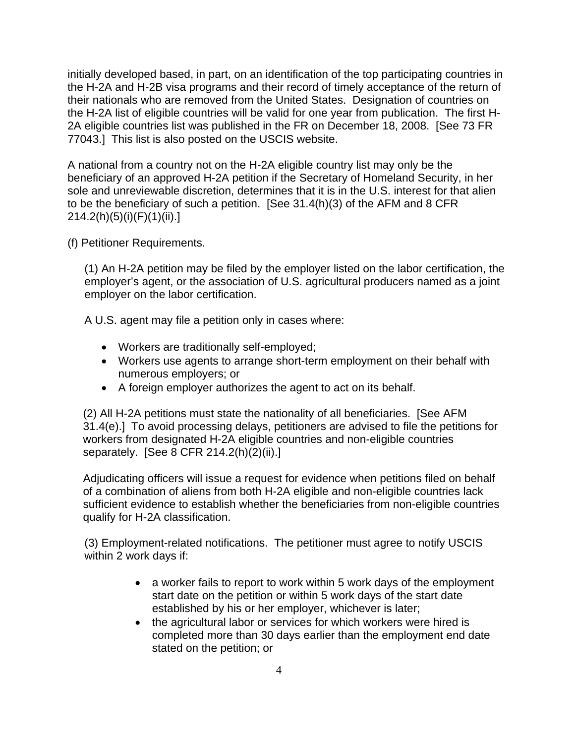initially developed based, in part, on an identification of the top participating countries in the H-2A and H-2B visa programs and their record of timely acceptance of the return of their nationals who are removed from the United States. Designation of countries on the H-2A list of eligible countries will be valid for one year from publication. The first H-2A eligible countries list was published in the FR on December 18, 2008. [See 73 FR 77043.] This list is also posted on the USCIS website.

A national from a country not on the H-2A eligible country list may only be the beneficiary of an approved H-2A petition if the Secretary of Homeland Security, in her sole and unreviewable discretion, determines that it is in the U.S. interest for that alien to be the beneficiary of such a petition. [See 31.4(h)(3) of the AFM and 8 CFR 214.2(h)(5)(i)(F)(1)(ii).]

(f) Petitioner Requirements.

(1) An H-2A petition may be filed by the employer listed on the labor certification, the employer's agent, or the association of U.S. agricultural producers named as a joint employer on the labor certification.

A U.S. agent may file a petition only in cases where:

- Workers are traditionally self-employed;
- Workers use agents to arrange short-term employment on their behalf with numerous employers; or
- A foreign employer authorizes the agent to act on its behalf.

(2) All H-2A petitions must state the nationality of all beneficiaries. [See AFM 31.4(e).] To avoid processing delays, petitioners are advised to file the petitions for workers from designated H-2A eligible countries and non-eligible countries separately. [See 8 CFR 214.2(h)(2)(ii).]

Adjudicating officers will issue a request for evidence when petitions filed on behalf of a combination of aliens from both H-2A eligible and non-eligible countries lack sufficient evidence to establish whether the beneficiaries from non-eligible countries qualify for H-2A classification.

(3) Employment-related notifications. The petitioner must agree to notify USCIS within 2 work days if:

- a worker fails to report to work within 5 work days of the employment start date on the petition or within 5 work days of the start date established by his or her employer, whichever is later;
- the agricultural labor or services for which workers were hired is completed more than 30 days earlier than the employment end date stated on the petition; or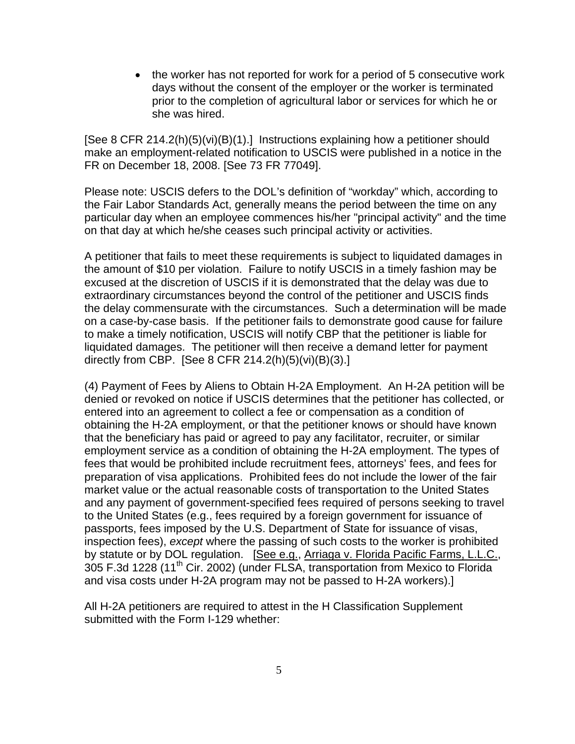• the worker has not reported for work for a period of 5 consecutive work days without the consent of the employer or the worker is terminated prior to the completion of agricultural labor or services for which he or she was hired.

[See 8 CFR 214.2(h)(5)(vi)(B)(1).] Instructions explaining how a petitioner should make an employment-related notification to USCIS were published in a notice in the FR on December 18, 2008. [See 73 FR 77049].

Please note: USCIS defers to the DOL's definition of "workday" which, according to the Fair Labor Standards Act, generally means the period between the time on any particular day when an employee commences his/her "principal activity" and the time on that day at which he/she ceases such principal activity or activities.

A petitioner that fails to meet these requirements is subject to liquidated damages in the amount of \$10 per violation. Failure to notify USCIS in a timely fashion may be excused at the discretion of USCIS if it is demonstrated that the delay was due to extraordinary circumstances beyond the control of the petitioner and USCIS finds the delay commensurate with the circumstances. Such a determination will be made on a case-by-case basis. If the petitioner fails to demonstrate good cause for failure to make a timely notification, USCIS will notify CBP that the petitioner is liable for liquidated damages. The petitioner will then receive a demand letter for payment directly from CBP. [See 8 CFR 214.2(h) $(5)(vi)(B)(3).$ ]

(4) Payment of Fees by Aliens to Obtain H-2A Employment. An H-2A petition will be denied or revoked on notice if USCIS determines that the petitioner has collected, or entered into an agreement to collect a fee or compensation as a condition of obtaining the H-2A employment, or that the petitioner knows or should have known that the beneficiary has paid or agreed to pay any facilitator, recruiter, or similar employment service as a condition of obtaining the H-2A employment. The types of fees that would be prohibited include recruitment fees, attorneys' fees, and fees for preparation of visa applications. Prohibited fees do not include the lower of the fair market value or the actual reasonable costs of transportation to the United States and any payment of government-specified fees required of persons seeking to travel to the United States (e.g., fees required by a foreign government for issuance of passports, fees imposed by the U.S. Department of State for issuance of visas, inspection fees), *except* where the passing of such costs to the worker is prohibited by statute or by DOL regulation. [See e.g., Arriaga v. Florida Pacific Farms, L.L.C., 305 F.3d 1228 (11th Cir. 2002) (under FLSA, transportation from Mexico to Florida and visa costs under H-2A program may not be passed to H-2A workers).]

All H-2A petitioners are required to attest in the H Classification Supplement submitted with the Form I-129 whether: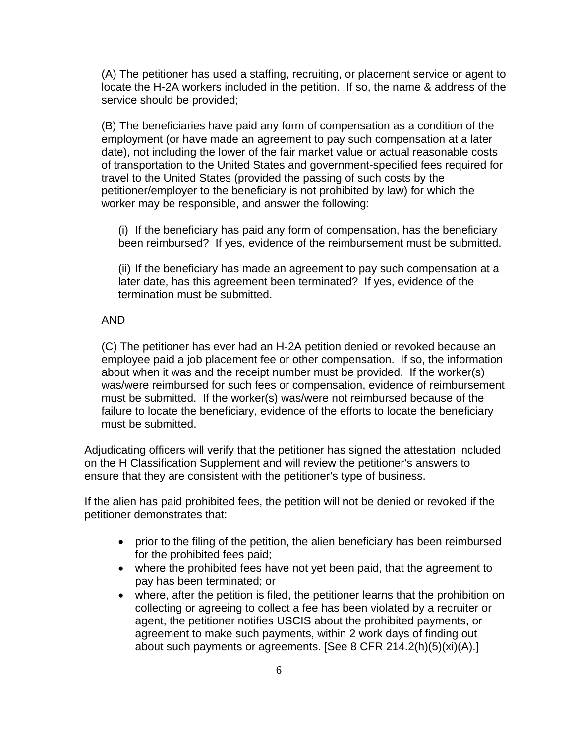(A) The petitioner has used a staffing, recruiting, or placement service or agent to locate the H-2A workers included in the petition. If so, the name & address of the service should be provided;

(B) The beneficiaries have paid any form of compensation as a condition of the employment (or have made an agreement to pay such compensation at a later date), not including the lower of the fair market value or actual reasonable costs of transportation to the United States and government-specified fees required for travel to the United States (provided the passing of such costs by the petitioner/employer to the beneficiary is not prohibited by law) for which the worker may be responsible, and answer the following:

(i) If the beneficiary has paid any form of compensation, has the beneficiary been reimbursed? If yes, evidence of the reimbursement must be submitted.

(ii) If the beneficiary has made an agreement to pay such compensation at a later date, has this agreement been terminated? If yes, evidence of the termination must be submitted.

### AND

(C) The petitioner has ever had an H-2A petition denied or revoked because an employee paid a job placement fee or other compensation. If so, the information about when it was and the receipt number must be provided. If the worker(s) was/were reimbursed for such fees or compensation, evidence of reimbursement must be submitted. If the worker(s) was/were not reimbursed because of the failure to locate the beneficiary, evidence of the efforts to locate the beneficiary must be submitted.

Adjudicating officers will verify that the petitioner has signed the attestation included on the H Classification Supplement and will review the petitioner's answers to ensure that they are consistent with the petitioner's type of business.

If the alien has paid prohibited fees, the petition will not be denied or revoked if the petitioner demonstrates that:

- prior to the filing of the petition, the alien beneficiary has been reimbursed for the prohibited fees paid;
- where the prohibited fees have not yet been paid, that the agreement to pay has been terminated; or
- where, after the petition is filed, the petitioner learns that the prohibition on collecting or agreeing to collect a fee has been violated by a recruiter or agent, the petitioner notifies USCIS about the prohibited payments, or agreement to make such payments, within 2 work days of finding out about such payments or agreements. [See 8 CFR 214.2(h)(5)(xi)(A).]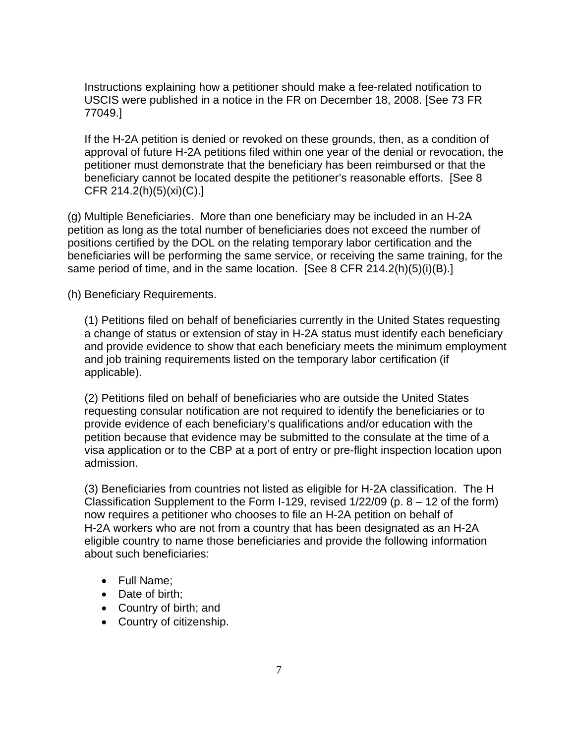Instructions explaining how a petitioner should make a fee-related notification to USCIS were published in a notice in the FR on December 18, 2008. [See 73 FR 77049.]

If the H-2A petition is denied or revoked on these grounds, then, as a condition of approval of future H-2A petitions filed within one year of the denial or revocation, the petitioner must demonstrate that the beneficiary has been reimbursed or that the beneficiary cannot be located despite the petitioner's reasonable efforts. [See 8 CFR 214.2(h)(5)(xi)(C).]

(g) Multiple Beneficiaries. More than one beneficiary may be included in an H-2A petition as long as the total number of beneficiaries does not exceed the number of positions certified by the DOL on the relating temporary labor certification and the beneficiaries will be performing the same service, or receiving the same training, for the same period of time, and in the same location. [See 8 CFR 214.2(h)(5)(i)(B).]

(h) Beneficiary Requirements.

(1) Petitions filed on behalf of beneficiaries currently in the United States requesting a change of status or extension of stay in H-2A status must identify each beneficiary and provide evidence to show that each beneficiary meets the minimum employment and job training requirements listed on the temporary labor certification (if applicable).

(2) Petitions filed on behalf of beneficiaries who are outside the United States requesting consular notification are not required to identify the beneficiaries or to provide evidence of each beneficiary's qualifications and/or education with the petition because that evidence may be submitted to the consulate at the time of a visa application or to the CBP at a port of entry or pre-flight inspection location upon admission.

(3) Beneficiaries from countries not listed as eligible for H-2A classification. The H Classification Supplement to the Form I-129, revised  $1/22/09$  (p.  $8 - 12$  of the form) now requires a petitioner who chooses to file an H-2A petition on behalf of H-2A workers who are not from a country that has been designated as an H-2A eligible country to name those beneficiaries and provide the following information about such beneficiaries:

- Full Name;
- Date of birth;
- Country of birth; and
- Country of citizenship.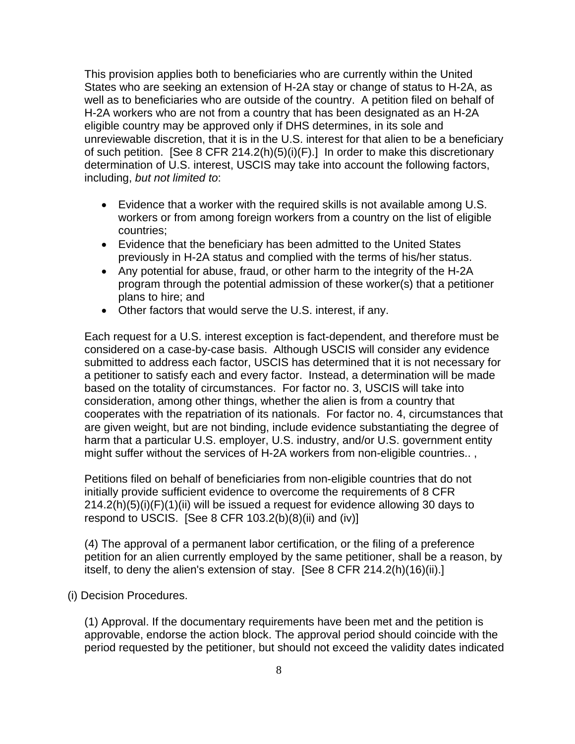This provision applies both to beneficiaries who are currently within the United States who are seeking an extension of H-2A stay or change of status to H-2A, as well as to beneficiaries who are outside of the country. A petition filed on behalf of H-2A workers who are not from a country that has been designated as an H-2A eligible country may be approved only if DHS determines, in its sole and unreviewable discretion, that it is in the U.S. interest for that alien to be a beneficiary of such petition. [See 8 CFR 214.2(h)(5)(i)(F).] In order to make this discretionary determination of U.S. interest, USCIS may take into account the following factors, including, *but not limited to*:

- Evidence that a worker with the required skills is not available among U.S. workers or from among foreign workers from a country on the list of eligible countries;
- Evidence that the beneficiary has been admitted to the United States previously in H-2A status and complied with the terms of his/her status.
- Any potential for abuse, fraud, or other harm to the integrity of the H-2A program through the potential admission of these worker(s) that a petitioner plans to hire; and
- Other factors that would serve the U.S. interest, if any.

Each request for a U.S. interest exception is fact-dependent, and therefore must be considered on a case-by-case basis. Although USCIS will consider any evidence submitted to address each factor, USCIS has determined that it is not necessary for a petitioner to satisfy each and every factor. Instead, a determination will be made based on the totality of circumstances. For factor no. 3, USCIS will take into consideration, among other things, whether the alien is from a country that cooperates with the repatriation of its nationals. For factor no. 4, circumstances that are given weight, but are not binding, include evidence substantiating the degree of harm that a particular U.S. employer, U.S. industry, and/or U.S. government entity might suffer without the services of H-2A workers from non-eligible countries.. ,

Petitions filed on behalf of beneficiaries from non-eligible countries that do not initially provide sufficient evidence to overcome the requirements of 8 CFR  $214.2(h)(5)(i)(F)(1)(ii)$  will be issued a request for evidence allowing 30 days to respond to USCIS. [See 8 CFR  $103.2(b)(8)(ii)$  and  $(iv)$ ]

(4) The approval of a permanent labor certification, or the filing of a preference petition for an alien currently employed by the same petitioner, shall be a reason, by itself, to deny the alien's extension of stay. [See 8 CFR 214.2(h)(16)(ii).]

(i) Decision Procedures.

(1) Approval. If the documentary requirements have been met and the petition is approvable, endorse the action block. The approval period should coincide with the period requested by the petitioner, but should not exceed the validity dates indicated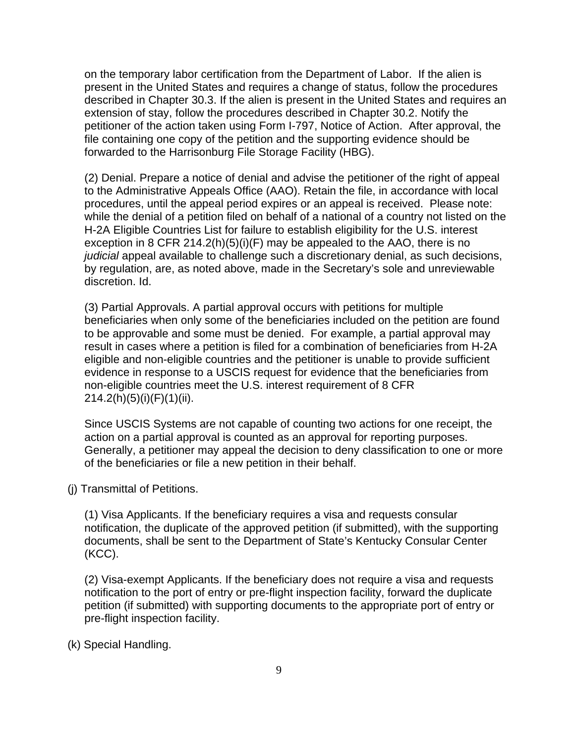on the temporary labor certification from the Department of Labor. If the alien is present in the United States and requires a change of status, follow the procedures described in Chapter 30.3. If the alien is present in the United States and requires an extension of stay, follow the procedures described in Chapter 30.2. Notify the petitioner of the action taken using Form I-797, Notice of Action. After approval, the file containing one copy of the petition and the supporting evidence should be forwarded to the Harrisonburg File Storage Facility (HBG).

(2) Denial. Prepare a notice of denial and advise the petitioner of the right of appeal to the Administrative Appeals Office (AAO). Retain the file, in accordance with local procedures, until the appeal period expires or an appeal is received. Please note: while the denial of a petition filed on behalf of a national of a country not listed on the H-2A Eligible Countries List for failure to establish eligibility for the U.S. interest exception in 8 CFR 214.2(h)(5)(i)(F) may be appealed to the AAO, there is no *judicial* appeal available to challenge such a discretionary denial, as such decisions, by regulation, are, as noted above, made in the Secretary's sole and unreviewable discretion. Id.

(3) Partial Approvals. A partial approval occurs with petitions for multiple beneficiaries when only some of the beneficiaries included on the petition are found to be approvable and some must be denied. For example, a partial approval may result in cases where a petition is filed for a combination of beneficiaries from H-2A eligible and non-eligible countries and the petitioner is unable to provide sufficient evidence in response to a USCIS request for evidence that the beneficiaries from non-eligible countries meet the U.S. interest requirement of 8 CFR 214.2(h)(5)(i)(F)(1)(ii).

Since USCIS Systems are not capable of counting two actions for one receipt, the action on a partial approval is counted as an approval for reporting purposes. Generally, a petitioner may appeal the decision to deny classification to one or more of the beneficiaries or file a new petition in their behalf.

(j) Transmittal of Petitions.

(1) Visa Applicants. If the beneficiary requires a visa and requests consular notification, the duplicate of the approved petition (if submitted), with the supporting documents, shall be sent to the Department of State's Kentucky Consular Center (KCC).

(2) Visa-exempt Applicants. If the beneficiary does not require a visa and requests notification to the port of entry or pre-flight inspection facility, forward the duplicate petition (if submitted) with supporting documents to the appropriate port of entry or pre-flight inspection facility.

(k) Special Handling.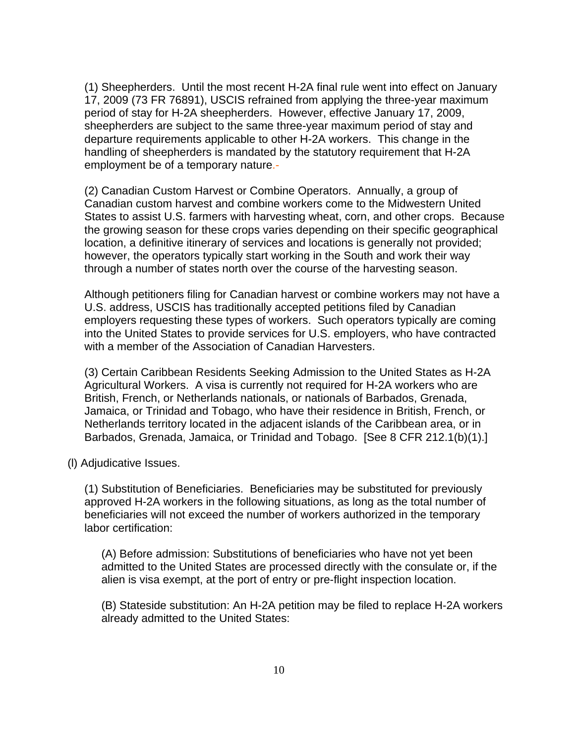(1) Sheepherders. Until the most recent H-2A final rule went into effect on January 17, 2009 (73 FR 76891), USCIS refrained from applying the three-year maximum period of stay for H-2A sheepherders. However, effective January 17, 2009, sheepherders are subject to the same three-year maximum period of stay and departure requirements applicable to other H-2A workers. This change in the handling of sheepherders is mandated by the statutory requirement that H-2A employment be of a temporary nature.-

(2) Canadian Custom Harvest or Combine Operators. Annually, a group of Canadian custom harvest and combine workers come to the Midwestern United States to assist U.S. farmers with harvesting wheat, corn, and other crops. Because the growing season for these crops varies depending on their specific geographical location, a definitive itinerary of services and locations is generally not provided; however, the operators typically start working in the South and work their way through a number of states north over the course of the harvesting season.

Although petitioners filing for Canadian harvest or combine workers may not have a U.S. address, USCIS has traditionally accepted petitions filed by Canadian employers requesting these types of workers. Such operators typically are coming into the United States to provide services for U.S. employers, who have contracted with a member of the Association of Canadian Harvesters.

(3) Certain Caribbean Residents Seeking Admission to the United States as H-2A Agricultural Workers. A visa is currently not required for H-2A workers who are British, French, or Netherlands nationals, or nationals of Barbados, Grenada, Jamaica, or Trinidad and Tobago, who have their residence in British, French, or Netherlands territory located in the adjacent islands of the Caribbean area, or in Barbados, Grenada, Jamaica, or Trinidad and Tobago. [See 8 CFR 212.1(b)(1).]

(l) Adjudicative Issues.

(1) Substitution of Beneficiaries. Beneficiaries may be substituted for previously approved H-2A workers in the following situations, as long as the total number of beneficiaries will not exceed the number of workers authorized in the temporary labor certification:

(A) Before admission: Substitutions of beneficiaries who have not yet been admitted to the United States are processed directly with the consulate or, if the alien is visa exempt, at the port of entry or pre-flight inspection location.

(B) Stateside substitution: An H-2A petition may be filed to replace H-2A workers already admitted to the United States: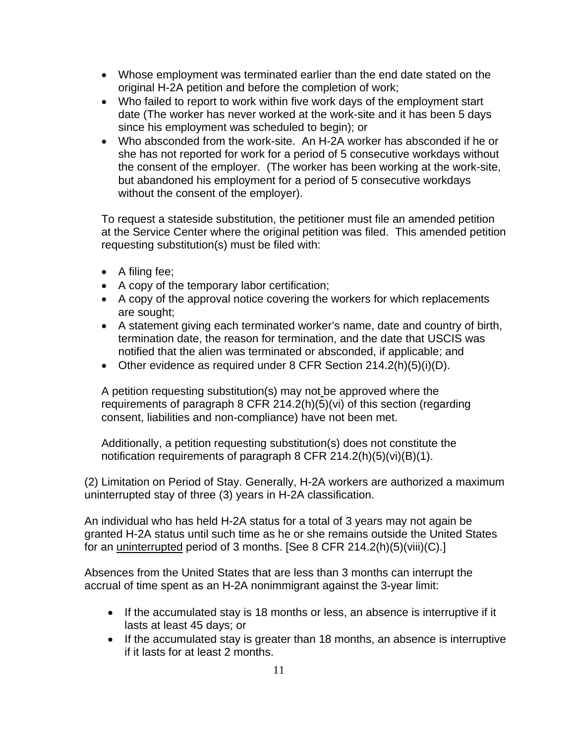- Whose employment was terminated earlier than the end date stated on the original H-2A petition and before the completion of work;
- Who failed to report to work within five work days of the employment start date (The worker has never worked at the work-site and it has been 5 days since his employment was scheduled to begin); or
- Who absconded from the work-site. An H-2A worker has absconded if he or she has not reported for work for a period of 5 consecutive workdays without the consent of the employer. (The worker has been working at the work-site, but abandoned his employment for a period of 5 consecutive workdays without the consent of the employer).

To request a stateside substitution, the petitioner must file an amended petition at the Service Center where the original petition was filed. This amended petition requesting substitution(s) must be filed with:

- A filing fee;
- A copy of the temporary labor certification;
- A copy of the approval notice covering the workers for which replacements are sought;
- A statement giving each terminated worker's name, date and country of birth, termination date, the reason for termination, and the date that USCIS was notified that the alien was terminated or absconded, if applicable; and
- Other evidence as required under 8 CFR Section 214.2(h)(5)(i)(D).

A petition requesting substitution(s) may not be approved where the requirements of paragraph 8 CFR 214.2(h)(5)(vi) of this section (regarding consent, liabilities and non-compliance) have not been met.

Additionally, a petition requesting substitution(s) does not constitute the notification requirements of paragraph 8 CFR 214.2(h)(5)(vi)(B)(1).

(2) Limitation on Period of Stay. Generally, H-2A workers are authorized a maximum uninterrupted stay of three (3) years in H-2A classification.

An individual who has held H-2A status for a total of 3 years may not again be granted H-2A status until such time as he or she remains outside the United States for an uninterrupted period of 3 months. [See 8 CFR 214.2(h)(5)(viii)(C).]

Absences from the United States that are less than 3 months can interrupt the accrual of time spent as an H-2A nonimmigrant against the 3-year limit:

- If the accumulated stay is 18 months or less, an absence is interruptive if it lasts at least 45 days; or
- If the accumulated stay is greater than 18 months, an absence is interruptive if it lasts for at least 2 months.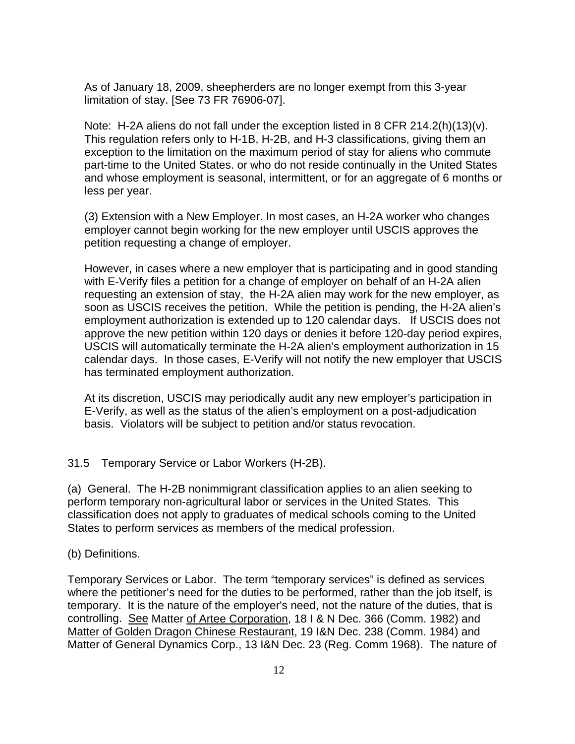As of January 18, 2009, sheepherders are no longer exempt from this 3-year limitation of stay. [See 73 FR 76906-07].

Note: H-2A aliens do not fall under the exception listed in 8 CFR 214.2(h)(13)(v). This regulation refers only to H-1B, H-2B, and H-3 classifications, giving them an exception to the limitation on the maximum period of stay for aliens who commute part-time to the United States. or who do not reside continually in the United States and whose employment is seasonal, intermittent, or for an aggregate of 6 months or less per year.

(3) Extension with a New Employer. In most cases, an H-2A worker who changes employer cannot begin working for the new employer until USCIS approves the petition requesting a change of employer.

However, in cases where a new employer that is participating and in good standing with E-Verify files a petition for a change of employer on behalf of an H-2A alien requesting an extension of stay, the H-2A alien may work for the new employer, as soon as USCIS receives the petition. While the petition is pending, the H-2A alien's employment authorization is extended up to 120 calendar days. If USCIS does not approve the new petition within 120 days or denies it before 120-day period expires, USCIS will automatically terminate the H-2A alien's employment authorization in 15 calendar days. In those cases, E-Verify will not notify the new employer that USCIS has terminated employment authorization.

At its discretion, USCIS may periodically audit any new employer's participation in E-Verify, as well as the status of the alien's employment on a post-adjudication basis. Violators will be subject to petition and/or status revocation.

31.5 Temporary Service or Labor Workers (H-2B).

(a) General. The H-2B nonimmigrant classification applies to an alien seeking to perform temporary non-agricultural labor or services in the United States. This classification does not apply to graduates of medical schools coming to the United States to perform services as members of the medical profession.

# (b) Definitions.

Temporary Services or Labor. The term "temporary services" is defined as services where the petitioner's need for the duties to be performed, rather than the job itself, is temporary. It is the nature of the employer's need, not the nature of the duties, that is controlling. See Matter of Artee Corporation, 18 I & N Dec. 366 (Comm. 1982) and Matter of Golden Dragon Chinese Restaurant, 19 I&N Dec. 238 (Comm. 1984) and Matter of General Dynamics Corp., 13 I&N Dec. 23 (Reg. Comm 1968). The nature of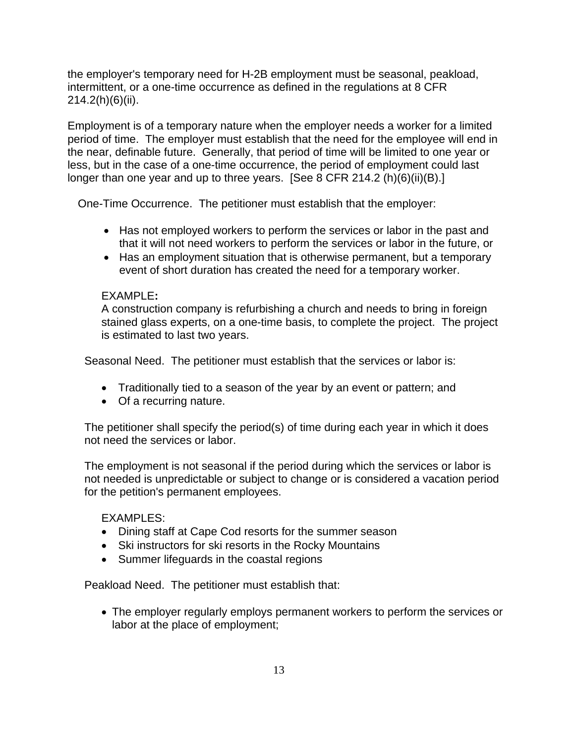the employer's temporary need for H-2B employment must be seasonal, peakload, intermittent, or a one-time occurrence as defined in the regulations at 8 CFR 214.2(h)(6)(ii).

Employment is of a temporary nature when the employer needs a worker for a limited period of time. The employer must establish that the need for the employee will end in the near, definable future. Generally, that period of time will be limited to one year or less, but in the case of a one-time occurrence, the period of employment could last longer than one year and up to three years. [See 8 CFR 214.2 (h)(6)(ii)(B).]

One-Time Occurrence. The petitioner must establish that the employer:

- Has not employed workers to perform the services or labor in the past and that it will not need workers to perform the services or labor in the future, or
- Has an employment situation that is otherwise permanent, but a temporary event of short duration has created the need for a temporary worker.

# EXAMPLE**:**

A construction company is refurbishing a church and needs to bring in foreign stained glass experts, on a one-time basis, to complete the project. The project is estimated to last two years.

Seasonal Need. The petitioner must establish that the services or labor is:

- Traditionally tied to a season of the year by an event or pattern; and
- Of a recurring nature.

The petitioner shall specify the period(s) of time during each year in which it does not need the services or labor.

The employment is not seasonal if the period during which the services or labor is not needed is unpredictable or subject to change or is considered a vacation period for the petition's permanent employees.

# EXAMPLES:

- Dining staff at Cape Cod resorts for the summer season
- Ski instructors for ski resorts in the Rocky Mountains
- Summer lifeguards in the coastal regions

Peakload Need. The petitioner must establish that:

• The employer regularly employs permanent workers to perform the services or labor at the place of employment;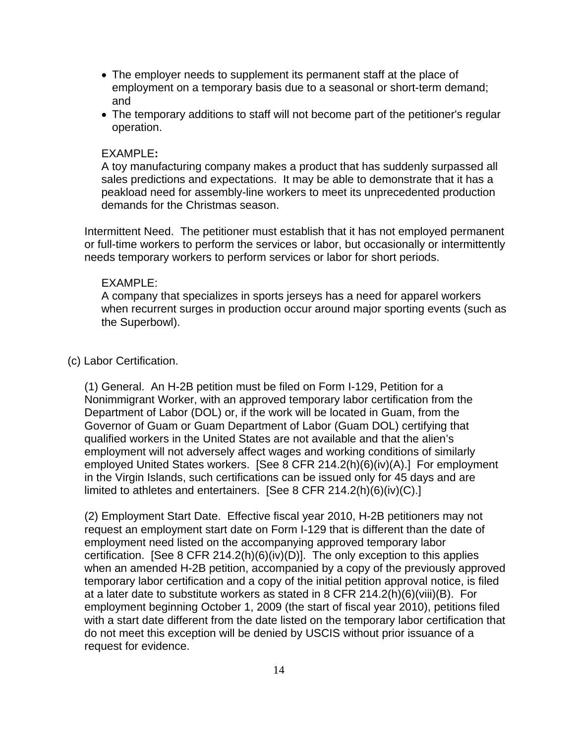- The employer needs to supplement its permanent staff at the place of employment on a temporary basis due to a seasonal or short-term demand; and
- The temporary additions to staff will not become part of the petitioner's regular operation.

### EXAMPLE**:**

A toy manufacturing company makes a product that has suddenly surpassed all sales predictions and expectations. It may be able to demonstrate that it has a peakload need for assembly-line workers to meet its unprecedented production demands for the Christmas season.

Intermittent Need.The petitioner must establish that it has not employed permanent or full-time workers to perform the services or labor, but occasionally or intermittently needs temporary workers to perform services or labor for short periods.

#### EXAMPLE:

A company that specializes in sports jerseys has a need for apparel workers when recurrent surges in production occur around major sporting events (such as the Superbowl).

### (c) Labor Certification.

(1) General. An H-2B petition must be filed on Form I-129, Petition for a Nonimmigrant Worker, with an approved temporary labor certification from the Department of Labor (DOL) or, if the work will be located in Guam, from the Governor of Guam or Guam Department of Labor (Guam DOL) certifying that qualified workers in the United States are not available and that the alien's employment will not adversely affect wages and working conditions of similarly employed United States workers. [See 8 CFR 214.2(h)(6)(iv)(A).] For employment in the Virgin Islands, such certifications can be issued only for 45 days and are limited to athletes and entertainers. [See 8 CFR 214.2(h)(6)(iv)(C).]

(2) Employment Start Date. Effective fiscal year 2010, H-2B petitioners may not request an employment start date on Form I-129 that is different than the date of employment need listed on the accompanying approved temporary labor certification. [See 8 CFR 214.2(h)(6)(iv)(D)]. The only exception to this applies when an amended H-2B petition, accompanied by a copy of the previously approved temporary labor certification and a copy of the initial petition approval notice, is filed at a later date to substitute workers as stated in 8 CFR 214.2(h)(6)(viii)(B). For employment beginning October 1, 2009 (the start of fiscal year 2010), petitions filed with a start date different from the date listed on the temporary labor certification that do not meet this exception will be denied by USCIS without prior issuance of a request for evidence.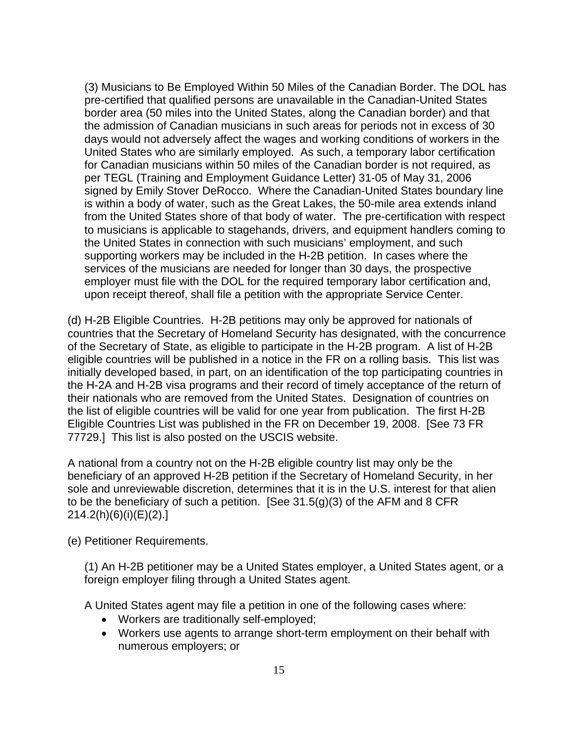(3) Musicians to Be Employed Within 50 Miles of the Canadian Border. The DOL has pre-certified that qualified persons are unavailable in the Canadian-United States border area (50 miles into the United States, along the Canadian border) and that the admission of Canadian musicians in such areas for periods not in excess of 30 days would not adversely affect the wages and working conditions of workers in the United States who are similarly employed. As such, a temporary labor certification for Canadian musicians within 50 miles of the Canadian border is not required, as per TEGL (Training and Employment Guidance Letter) 31-05 of May 31, 2006 signed by Emily Stover DeRocco. Where the Canadian-United States boundary line is within a body of water, such as the Great Lakes, the 50-mile area extends inland from the United States shore of that body of water. The pre-certification with respect to musicians is applicable to stagehands, drivers, and equipment handlers coming to the United States in connection with such musicians' employment, and such supporting workers may be included in the H-2B petition. In cases where the services of the musicians are needed for longer than 30 days, the prospective employer must file with the DOL for the required temporary labor certification and, upon receipt thereof, shall file a petition with the appropriate Service Center.

(d) H-2B Eligible Countries. H-2B petitions may only be approved for nationals of countries that the Secretary of Homeland Security has designated, with the concurrence of the Secretary of State, as eligible to participate in the H-2B program. A list of H-2B eligible countries will be published in a notice in the FR on a rolling basis. This list was initially developed based, in part, on an identification of the top participating countries in the H-2A and H-2B visa programs and their record of timely acceptance of the return of their nationals who are removed from the United States. Designation of countries on the list of eligible countries will be valid for one year from publication. The first H-2B Eligible Countries List was published in the FR on December 19, 2008. [See 73 FR 77729.] This list is also posted on the USCIS website.

A national from a country not on the H-2B eligible country list may only be the beneficiary of an approved H-2B petition if the Secretary of Homeland Security, in her sole and unreviewable discretion, determines that it is in the U.S. interest for that alien to be the beneficiary of such a petition. [See  $31.5(q)(3)$  of the AFM and 8 CFR 214.2(h)(6)(i)(E)(2).]

(e) Petitioner Requirements.

(1) An H-2B petitioner may be a United States employer, a United States agent, or a foreign employer filing through a United States agent.

A United States agent may file a petition in one of the following cases where:

- Workers are traditionally self-employed;
- Workers use agents to arrange short-term employment on their behalf with numerous employers; or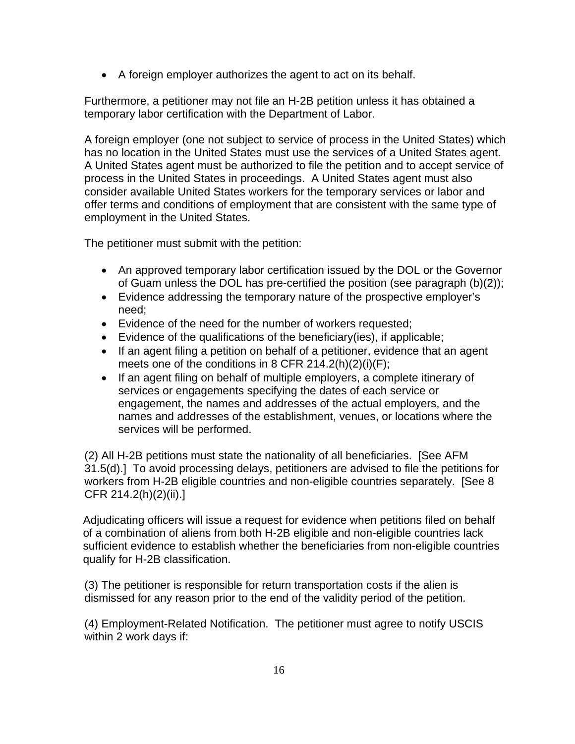• A foreign employer authorizes the agent to act on its behalf.

Furthermore, a petitioner may not file an H-2B petition unless it has obtained a temporary labor certification with the Department of Labor.

A foreign employer (one not subject to service of process in the United States) which has no location in the United States must use the services of a United States agent. A United States agent must be authorized to file the petition and to accept service of process in the United States in proceedings. A United States agent must also consider available United States workers for the temporary services or labor and offer terms and conditions of employment that are consistent with the same type of employment in the United States.

The petitioner must submit with the petition:

- An approved temporary labor certification issued by the DOL or the Governor of Guam unless the DOL has pre-certified the position (see paragraph (b)(2));
- Evidence addressing the temporary nature of the prospective employer's need;
- Evidence of the need for the number of workers requested;
- Evidence of the qualifications of the beneficiary(ies), if applicable;
- If an agent filing a petition on behalf of a petitioner, evidence that an agent meets one of the conditions in 8 CFR 214.2(h)(2)(i)(F);
- If an agent filing on behalf of multiple employers, a complete itinerary of services or engagements specifying the dates of each service or engagement, the names and addresses of the actual employers, and the names and addresses of the establishment, venues, or locations where the services will be performed.

(2) All H-2B petitions must state the nationality of all beneficiaries. [See AFM 31.5(d).] To avoid processing delays, petitioners are advised to file the petitions for workers from H-2B eligible countries and non-eligible countries separately. [See 8 CFR 214.2(h)(2)(ii).]

Adjudicating officers will issue a request for evidence when petitions filed on behalf of a combination of aliens from both H-2B eligible and non-eligible countries lack sufficient evidence to establish whether the beneficiaries from non-eligible countries qualify for H-2B classification.

(3) The petitioner is responsible for return transportation costs if the alien is dismissed for any reason prior to the end of the validity period of the petition.

(4) Employment-Related Notification. The petitioner must agree to notify USCIS within 2 work days if: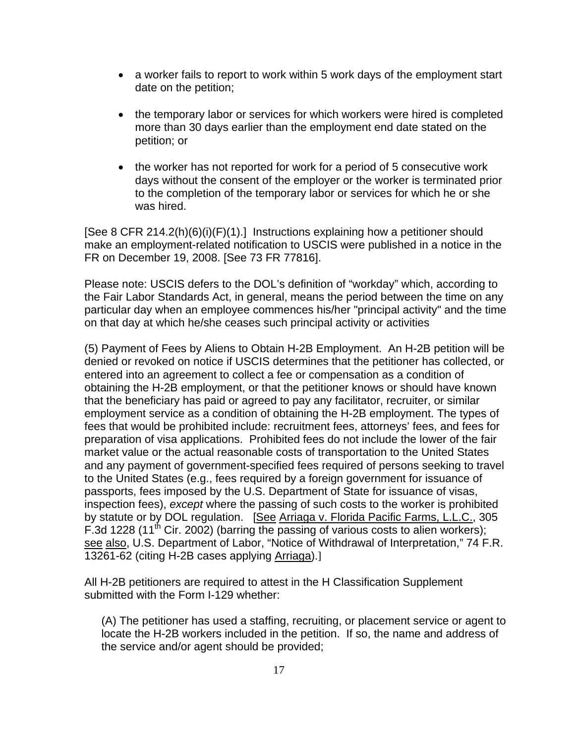- a worker fails to report to work within 5 work days of the employment start date on the petition;
- the temporary labor or services for which workers were hired is completed more than 30 days earlier than the employment end date stated on the petition; or
- the worker has not reported for work for a period of 5 consecutive work days without the consent of the employer or the worker is terminated prior to the completion of the temporary labor or services for which he or she was hired.

[See 8 CFR 214.2(h)(6)(i)(F)(1).] Instructions explaining how a petitioner should make an employment-related notification to USCIS were published in a notice in the FR on December 19, 2008. [See 73 FR 77816].

Please note: USCIS defers to the DOL's definition of "workday" which, according to the Fair Labor Standards Act, in general, means the period between the time on any particular day when an employee commences his/her "principal activity" and the time on that day at which he/she ceases such principal activity or activities

(5) Payment of Fees by Aliens to Obtain H-2B Employment. An H-2B petition will be denied or revoked on notice if USCIS determines that the petitioner has collected, or entered into an agreement to collect a fee or compensation as a condition of obtaining the H-2B employment, or that the petitioner knows or should have known that the beneficiary has paid or agreed to pay any facilitator, recruiter, or similar employment service as a condition of obtaining the H-2B employment. The types of fees that would be prohibited include: recruitment fees, attorneys' fees, and fees for preparation of visa applications. Prohibited fees do not include the lower of the fair market value or the actual reasonable costs of transportation to the United States and any payment of government-specified fees required of persons seeking to travel to the United States (e.g., fees required by a foreign government for issuance of passports, fees imposed by the U.S. Department of State for issuance of visas, inspection fees), *except* where the passing of such costs to the worker is prohibited by statute or by DOL regulation. [See Arriaga v. Florida Pacific Farms, L.L.C., 305 F.3d 1228 (11<sup>th</sup> Cir. 2002) (barring the passing of various costs to alien workers); see also, U.S. Department of Labor, "Notice of Withdrawal of Interpretation," 74 F.R. 13261-62 (citing H-2B cases applying Arriaga).]

All H-2B petitioners are required to attest in the H Classification Supplement submitted with the Form I-129 whether:

(A) The petitioner has used a staffing, recruiting, or placement service or agent to locate the H-2B workers included in the petition. If so, the name and address of the service and/or agent should be provided;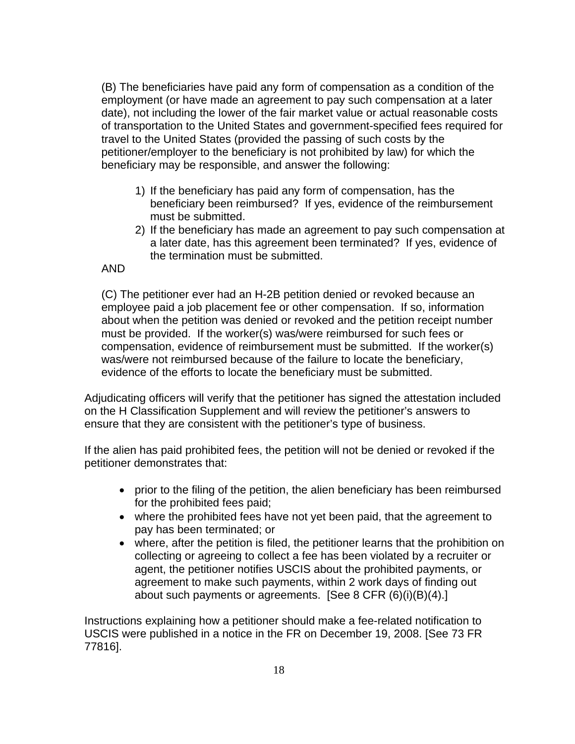(B) The beneficiaries have paid any form of compensation as a condition of the employment (or have made an agreement to pay such compensation at a later date), not including the lower of the fair market value or actual reasonable costs of transportation to the United States and government-specified fees required for travel to the United States (provided the passing of such costs by the petitioner/employer to the beneficiary is not prohibited by law) for which the beneficiary may be responsible, and answer the following:

- 1) If the beneficiary has paid any form of compensation, has the beneficiary been reimbursed? If yes, evidence of the reimbursement must be submitted.
- 2) If the beneficiary has made an agreement to pay such compensation at a later date, has this agreement been terminated? If yes, evidence of the termination must be submitted.

### AND

(C) The petitioner ever had an H-2B petition denied or revoked because an employee paid a job placement fee or other compensation. If so, information about when the petition was denied or revoked and the petition receipt number must be provided. If the worker(s) was/were reimbursed for such fees or compensation, evidence of reimbursement must be submitted. If the worker(s) was/were not reimbursed because of the failure to locate the beneficiary, evidence of the efforts to locate the beneficiary must be submitted.

Adjudicating officers will verify that the petitioner has signed the attestation included on the H Classification Supplement and will review the petitioner's answers to ensure that they are consistent with the petitioner's type of business.

If the alien has paid prohibited fees, the petition will not be denied or revoked if the petitioner demonstrates that:

- prior to the filing of the petition, the alien beneficiary has been reimbursed for the prohibited fees paid;
- where the prohibited fees have not yet been paid, that the agreement to pay has been terminated; or
- where, after the petition is filed, the petitioner learns that the prohibition on collecting or agreeing to collect a fee has been violated by a recruiter or agent, the petitioner notifies USCIS about the prohibited payments, or agreement to make such payments, within 2 work days of finding out about such payments or agreements. [See 8 CFR (6)(i)(B)(4).]

Instructions explaining how a petitioner should make a fee-related notification to USCIS were published in a notice in the FR on December 19, 2008. [See 73 FR 77816].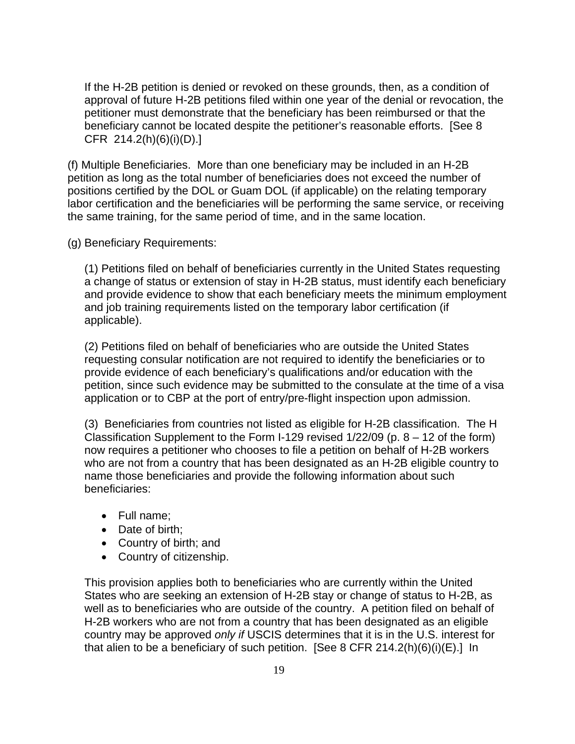If the H-2B petition is denied or revoked on these grounds, then, as a condition of approval of future H-2B petitions filed within one year of the denial or revocation, the petitioner must demonstrate that the beneficiary has been reimbursed or that the beneficiary cannot be located despite the petitioner's reasonable efforts. [See 8 CFR 214.2(h)(6)(i)(D).]

(f) Multiple Beneficiaries. More than one beneficiary may be included in an H-2B petition as long as the total number of beneficiaries does not exceed the number of positions certified by the DOL or Guam DOL (if applicable) on the relating temporary labor certification and the beneficiaries will be performing the same service, or receiving the same training, for the same period of time, and in the same location.

(g) Beneficiary Requirements:

(1) Petitions filed on behalf of beneficiaries currently in the United States requesting a change of status or extension of stay in H-2B status, must identify each beneficiary and provide evidence to show that each beneficiary meets the minimum employment and job training requirements listed on the temporary labor certification (if applicable).

(2) Petitions filed on behalf of beneficiaries who are outside the United States requesting consular notification are not required to identify the beneficiaries or to provide evidence of each beneficiary's qualifications and/or education with the petition, since such evidence may be submitted to the consulate at the time of a visa application or to CBP at the port of entry/pre-flight inspection upon admission.

(3) Beneficiaries from countries not listed as eligible for H-2B classification. The H Classification Supplement to the Form I-129 revised 1/22/09 (p. 8 – 12 of the form) now requires a petitioner who chooses to file a petition on behalf of H-2B workers who are not from a country that has been designated as an H-2B eligible country to name those beneficiaries and provide the following information about such beneficiaries:

- Full name;
- Date of birth:
- Country of birth; and
- Country of citizenship.

This provision applies both to beneficiaries who are currently within the United States who are seeking an extension of H-2B stay or change of status to H-2B, as well as to beneficiaries who are outside of the country. A petition filed on behalf of H-2B workers who are not from a country that has been designated as an eligible country may be approved *only if* USCIS determines that it is in the U.S. interest for that alien to be a beneficiary of such petition. [See 8 CFR 214.2(h)(6)(i)(E).] In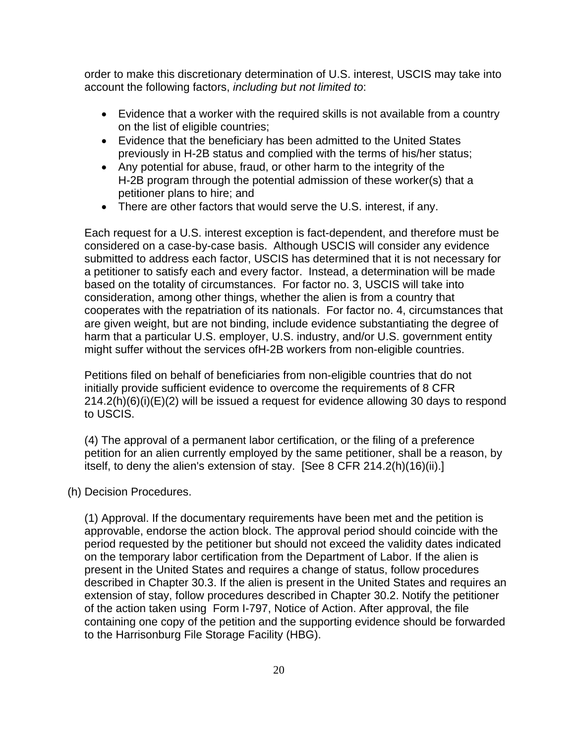order to make this discretionary determination of U.S. interest, USCIS may take into account the following factors, *including but not limited to*:

- Evidence that a worker with the required skills is not available from a country on the list of eligible countries;
- Evidence that the beneficiary has been admitted to the United States previously in H-2B status and complied with the terms of his/her status;
- Any potential for abuse, fraud, or other harm to the integrity of the H-2B program through the potential admission of these worker(s) that a petitioner plans to hire; and
- There are other factors that would serve the U.S. interest, if any.

Each request for a U.S. interest exception is fact-dependent, and therefore must be considered on a case-by-case basis. Although USCIS will consider any evidence submitted to address each factor, USCIS has determined that it is not necessary for a petitioner to satisfy each and every factor. Instead, a determination will be made based on the totality of circumstances. For factor no. 3, USCIS will take into consideration, among other things, whether the alien is from a country that cooperates with the repatriation of its nationals. For factor no. 4, circumstances that are given weight, but are not binding, include evidence substantiating the degree of harm that a particular U.S. employer, U.S. industry, and/or U.S. government entity might suffer without the services ofH-2B workers from non-eligible countries.

Petitions filed on behalf of beneficiaries from non-eligible countries that do not initially provide sufficient evidence to overcome the requirements of 8 CFR 214.2(h)(6)(i)(E)(2) will be issued a request for evidence allowing 30 days to respond to USCIS.

(4) The approval of a permanent labor certification, or the filing of a preference petition for an alien currently employed by the same petitioner, shall be a reason, by itself, to deny the alien's extension of stay. [See 8 CFR 214.2(h)(16)(ii).]

(h) Decision Procedures.

(1) Approval. If the documentary requirements have been met and the petition is approvable, endorse the action block. The approval period should coincide with the period requested by the petitioner but should not exceed the validity dates indicated on the temporary labor certification from the Department of Labor. If the alien is present in the United States and requires a change of status, follow procedures described in Chapter 30.3. If the alien is present in the United States and requires an extension of stay, follow procedures described in Chapter 30.2. Notify the petitioner of the action taken using Form I-797, Notice of Action. After approval, the file containing one copy of the petition and the supporting evidence should be forwarded to the Harrisonburg File Storage Facility (HBG).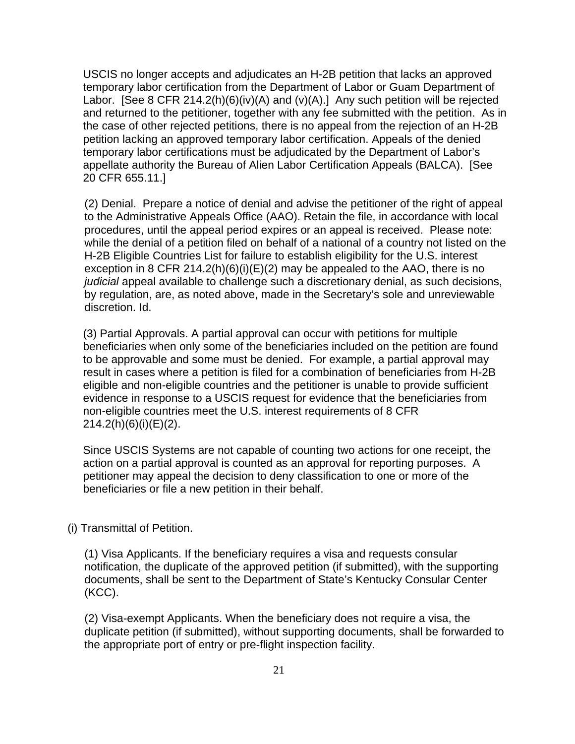USCIS no longer accepts and adjudicates an H-2B petition that lacks an approved temporary labor certification from the Department of Labor or Guam Department of Labor. [See 8 CFR 214.2(h)(6)(iv)(A) and (v)(A).] Any such petition will be rejected and returned to the petitioner, together with any fee submitted with the petition. As in the case of other rejected petitions, there is no appeal from the rejection of an H-2B petition lacking an approved temporary labor certification. Appeals of the denied temporary labor certifications must be adjudicated by the Department of Labor's appellate authority the Bureau of Alien Labor Certification Appeals (BALCA). [See 20 CFR 655.11.]

(2) Denial. Prepare a notice of denial and advise the petitioner of the right of appeal to the Administrative Appeals Office (AAO). Retain the file, in accordance with local procedures, until the appeal period expires or an appeal is received. Please note: while the denial of a petition filed on behalf of a national of a country not listed on the H-2B Eligible Countries List for failure to establish eligibility for the U.S. interest exception in 8 CFR 214.2(h) $(6)(i)(E)(2)$  may be appealed to the AAO, there is no *judicial* appeal available to challenge such a discretionary denial, as such decisions, by regulation, are, as noted above, made in the Secretary's sole and unreviewable discretion. Id.

(3) Partial Approvals. A partial approval can occur with petitions for multiple beneficiaries when only some of the beneficiaries included on the petition are found to be approvable and some must be denied. For example, a partial approval may result in cases where a petition is filed for a combination of beneficiaries from H-2B eligible and non-eligible countries and the petitioner is unable to provide sufficient evidence in response to a USCIS request for evidence that the beneficiaries from non-eligible countries meet the U.S. interest requirements of 8 CFR 214.2(h)(6)(i)(E)(2).

Since USCIS Systems are not capable of counting two actions for one receipt, the action on a partial approval is counted as an approval for reporting purposes. A petitioner may appeal the decision to deny classification to one or more of the beneficiaries or file a new petition in their behalf.

(i) Transmittal of Petition.

(1) Visa Applicants. If the beneficiary requires a visa and requests consular notification, the duplicate of the approved petition (if submitted), with the supporting documents, shall be sent to the Department of State's Kentucky Consular Center (KCC).

(2) Visa-exempt Applicants. When the beneficiary does not require a visa, the duplicate petition (if submitted), without supporting documents, shall be forwarded to the appropriate port of entry or pre-flight inspection facility.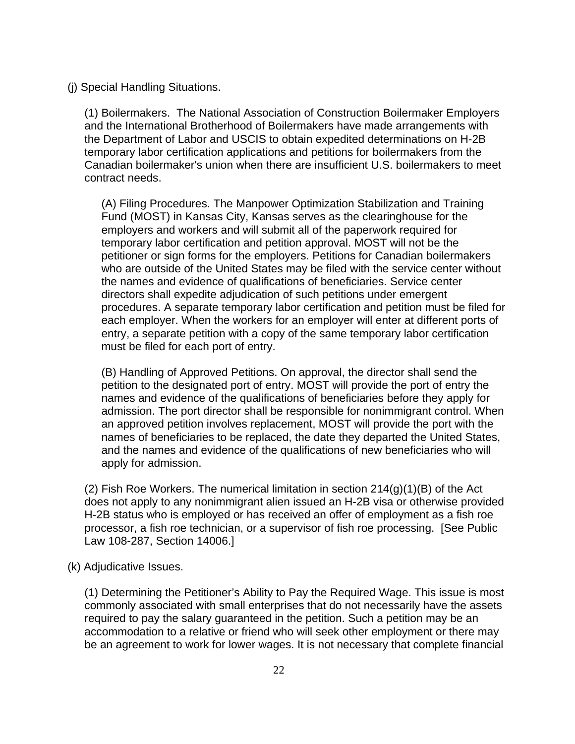(j) Special Handling Situations.

(1) Boilermakers. The National Association of Construction Boilermaker Employers and the International Brotherhood of Boilermakers have made arrangements with the Department of Labor and USCIS to obtain expedited determinations on H-2B temporary labor certification applications and petitions for boilermakers from the Canadian boilermaker's union when there are insufficient U.S. boilermakers to meet contract needs.

(A) Filing Procedures. The Manpower Optimization Stabilization and Training Fund (MOST) in Kansas City, Kansas serves as the clearinghouse for the employers and workers and will submit all of the paperwork required for temporary labor certification and petition approval. MOST will not be the petitioner or sign forms for the employers. Petitions for Canadian boilermakers who are outside of the United States may be filed with the service center without the names and evidence of qualifications of beneficiaries. Service center directors shall expedite adjudication of such petitions under emergent procedures. A separate temporary labor certification and petition must be filed for each employer. When the workers for an employer will enter at different ports of entry, a separate petition with a copy of the same temporary labor certification must be filed for each port of entry.

(B) Handling of Approved Petitions. On approval, the director shall send the petition to the designated port of entry. MOST will provide the port of entry the names and evidence of the qualifications of beneficiaries before they apply for admission. The port director shall be responsible for nonimmigrant control. When an approved petition involves replacement, MOST will provide the port with the names of beneficiaries to be replaced, the date they departed the United States, and the names and evidence of the qualifications of new beneficiaries who will apply for admission.

(2) Fish Roe Workers. The numerical limitation in section 214(g)(1)(B) of the Act does not apply to any nonimmigrant alien issued an H-2B visa or otherwise provided H-2B status who is employed or has received an offer of employment as a fish roe processor, a fish roe technician, or a supervisor of fish roe processing. [See Public Law 108-287, Section 14006.]

(k) Adjudicative Issues.

(1) Determining the Petitioner's Ability to Pay the Required Wage. This issue is most commonly associated with small enterprises that do not necessarily have the assets required to pay the salary guaranteed in the petition. Such a petition may be an accommodation to a relative or friend who will seek other employment or there may be an agreement to work for lower wages. It is not necessary that complete financial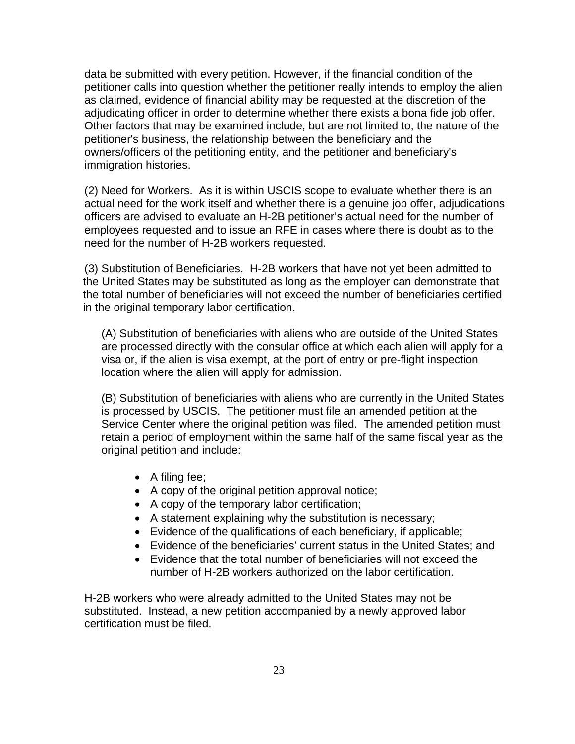data be submitted with every petition. However, if the financial condition of the petitioner calls into question whether the petitioner really intends to employ the alien as claimed, evidence of financial ability may be requested at the discretion of the adjudicating officer in order to determine whether there exists a bona fide job offer. Other factors that may be examined include, but are not limited to, the nature of the petitioner's business, the relationship between the beneficiary and the owners/officers of the petitioning entity, and the petitioner and beneficiary's immigration histories.

(2) Need for Workers. As it is within USCIS scope to evaluate whether there is an actual need for the work itself and whether there is a genuine job offer, adjudications officers are advised to evaluate an H-2B petitioner's actual need for the number of employees requested and to issue an RFE in cases where there is doubt as to the need for the number of H-2B workers requested.

(3) Substitution of Beneficiaries. H-2B workers that have not yet been admitted to the United States may be substituted as long as the employer can demonstrate that the total number of beneficiaries will not exceed the number of beneficiaries certified in the original temporary labor certification.

(A) Substitution of beneficiaries with aliens who are outside of the United States are processed directly with the consular office at which each alien will apply for a visa or, if the alien is visa exempt, at the port of entry or pre-flight inspection location where the alien will apply for admission.

(B) Substitution of beneficiaries with aliens who are currently in the United States is processed by USCIS. The petitioner must file an amended petition at the Service Center where the original petition was filed. The amended petition must retain a period of employment within the same half of the same fiscal year as the original petition and include:

- A filing fee;
- A copy of the original petition approval notice;
- A copy of the temporary labor certification;
- A statement explaining why the substitution is necessary;
- Evidence of the qualifications of each beneficiary, if applicable;
- Evidence of the beneficiaries' current status in the United States; and
- Evidence that the total number of beneficiaries will not exceed the number of H-2B workers authorized on the labor certification.

H-2B workers who were already admitted to the United States may not be substituted. Instead, a new petition accompanied by a newly approved labor certification must be filed.